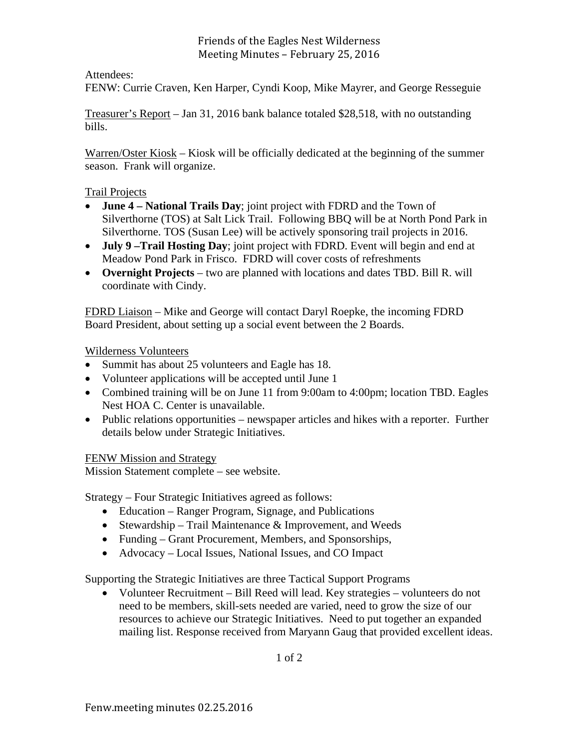### Friends of the Eagles Nest Wilderness Meeting Minutes - February 25, 2016

### Attendees:

FENW: Currie Craven, Ken Harper, Cyndi Koop, Mike Mayrer, and George Resseguie

Treasurer's Report – Jan 31, 2016 bank balance totaled \$28,518, with no outstanding bills.

Warren/Oster Kiosk – Kiosk will be officially dedicated at the beginning of the summer season. Frank will organize.

### Trail Projects

- **June 4 National Trails Day**; joint project with FDRD and the Town of Silverthorne (TOS) at Salt Lick Trail. Following BBQ will be at North Pond Park in Silverthorne. TOS (Susan Lee) will be actively sponsoring trail projects in 2016.
- **July 9 –Trail Hosting Day**; joint project with FDRD. Event will begin and end at Meadow Pond Park in Frisco. FDRD will cover costs of refreshments
- **Overnight Projects** two are planned with locations and dates TBD. Bill R. will coordinate with Cindy.

FDRD Liaison – Mike and George will contact Daryl Roepke, the incoming FDRD Board President, about setting up a social event between the 2 Boards.

Wilderness Volunteers

- Summit has about 25 volunteers and Eagle has 18.
- Volunteer applications will be accepted until June 1
- Combined training will be on June 11 from 9:00am to 4:00pm; location TBD. Eagles Nest HOA C. Center is unavailable.
- Public relations opportunities newspaper articles and hikes with a reporter. Further details below under Strategic Initiatives.

FENW Mission and Strategy

Mission Statement complete – see website.

Strategy – Four Strategic Initiatives agreed as follows:

- Education Ranger Program, Signage, and Publications
- Stewardship Trail Maintenance  $&$  Improvement, and Weeds
- Funding Grant Procurement, Members, and Sponsorships,
- Advocacy Local Issues, National Issues, and CO Impact

Supporting the Strategic Initiatives are three Tactical Support Programs

 Volunteer Recruitment – Bill Reed will lead. Key strategies – volunteers do not need to be members, skill-sets needed are varied, need to grow the size of our resources to achieve our Strategic Initiatives. Need to put together an expanded mailing list. Response received from Maryann Gaug that provided excellent ideas.

1 of 2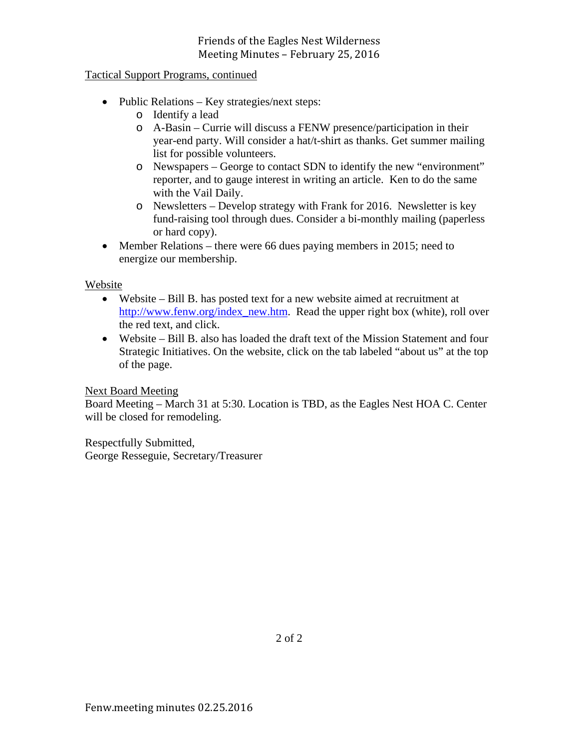### Friends of the Eagles Nest Wilderness Meeting Minutes - February 25, 2016

### Tactical Support Programs, continued

- Public Relations Key strategies/next steps:
	- o Identify a lead
	- o A-Basin Currie will discuss a FENW presence/participation in their year-end party. Will consider a hat/t-shirt as thanks. Get summer mailing list for possible volunteers.
	- o Newspapers George to contact SDN to identify the new "environment" reporter, and to gauge interest in writing an article. Ken to do the same with the Vail Daily.
	- o Newsletters Develop strategy with Frank for 2016. Newsletter is key fund-raising tool through dues. Consider a bi-monthly mailing (paperless or hard copy).
- Member Relations there were 66 dues paying members in 2015; need to energize our membership.

#### Website

- Website Bill B. has posted text for a new website aimed at recruitment at http://www.fenw.org/index\_new.htm. Read the upper right box (white), roll over the red text, and click.
- Website Bill B. also has loaded the draft text of the Mission Statement and four Strategic Initiatives. On the website, click on the tab labeled "about us" at the top of the page.

#### Next Board Meeting

Board Meeting – March 31 at 5:30. Location is TBD, as the Eagles Nest HOA C. Center will be closed for remodeling.

Respectfully Submitted, George Resseguie, Secretary/Treasurer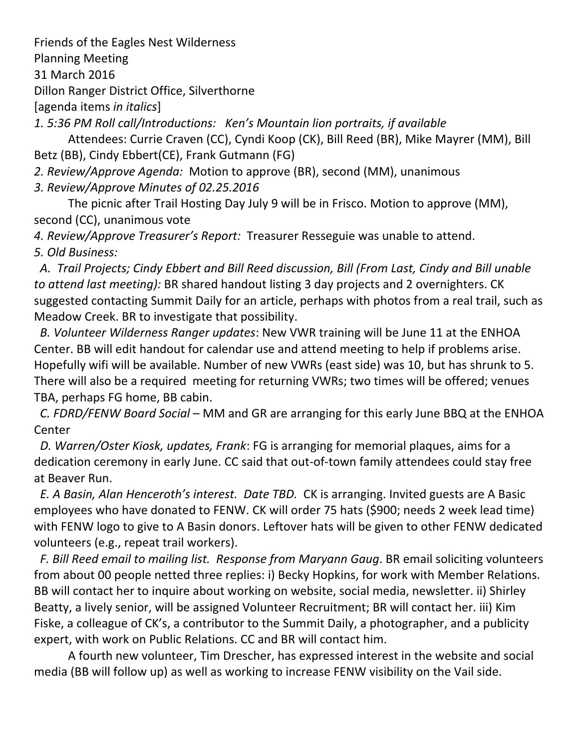Friends of the Eagles Nest Wilderness

Planning Meeting

31 March 2016

Dillon Ranger District Office, Silverthorne

[agenda items *in italics*]

*1. 5:36 PM Roll call/Introductions: Ken's Mountain lion portraits, if available* 

Attendees: Currie Craven (CC), Cyndi Koop (CK), Bill Reed (BR), Mike Mayrer (MM), Bill Betz (BB), Cindy Ebbert(CE), Frank Gutmann (FG)

*2. Review/Approve Agenda:* Motion to approve (BR), second (MM), unanimous

*3. Review/Approve Minutes of 02.25.2016*

The picnic after Trail Hosting Day July 9 will be in Frisco. Motion to approve (MM), second (CC), unanimous vote

*4. Review/Approve Treasurer's Report:* Treasurer Resseguie was unable to attend. *5. Old Business:*

A. Trail Projects; Cindy Ebbert and Bill Reed discussion, Bill (From Last, Cindy and Bill unable *to attend last meeting):* BR shared handout listing 3 day projects and 2 overnighters. CK suggested contacting Summit Daily for an article, perhaps with photos from a real trail, such as Meadow Creek. BR to investigate that possibility.

 *B. Volunteer Wilderness Ranger updates*: New VWR training will be June 11 at the ENHOA Center. BB will edit handout for calendar use and attend meeting to help if problems arise. Hopefully wifi will be available. Number of new VWRs (east side) was 10, but has shrunk to 5. There will also be a required meeting for returning VWRs; two times will be offered; venues TBA, perhaps FG home, BB cabin.

 *C. FDRD/FENW Board Social* – MM and GR are arranging for this early June BBQ at the ENHOA Center

 *D. Warren/Oster Kiosk, updates, Frank*: FG is arranging for memorial plaques, aims for a dedication ceremony in early June. CC said that out‐of‐town family attendees could stay free at Beaver Run.

 *E. A Basin, Alan Henceroth's interest. Date TBD.* CK is arranging. Invited guests are A Basic employees who have donated to FENW. CK will order 75 hats (\$900; needs 2 week lead time) with FENW logo to give to A Basin donors. Leftover hats will be given to other FENW dedicated volunteers (e.g., repeat trail workers).

 *F. Bill Reed email to mailing list. Response from Maryann Gaug*. BR email soliciting volunteers from about 00 people netted three replies: i) Becky Hopkins, for work with Member Relations. BB will contact her to inquire about working on website, social media, newsletter. ii) Shirley Beatty, a lively senior, will be assigned Volunteer Recruitment; BR will contact her. iii) Kim Fiske, a colleague of CK's, a contributor to the Summit Daily, a photographer, and a publicity expert, with work on Public Relations. CC and BR will contact him.

A fourth new volunteer, Tim Drescher, has expressed interest in the website and social media (BB will follow up) as well as working to increase FENW visibility on the Vail side.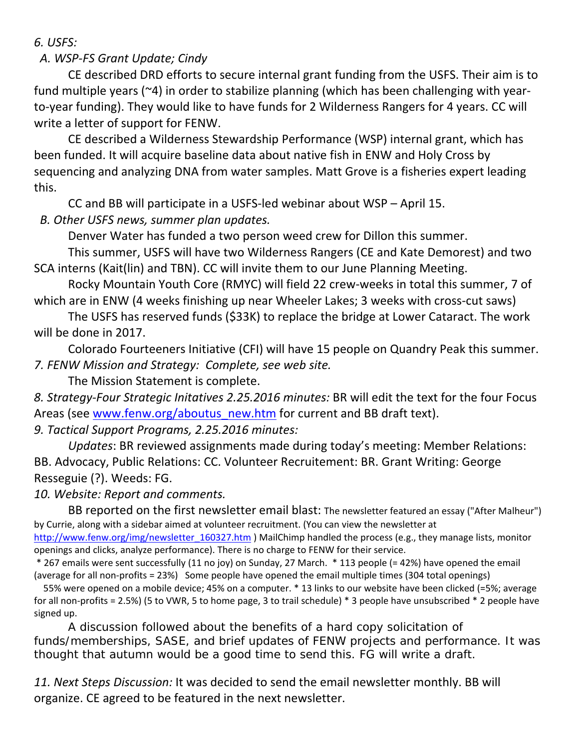*6. USFS:*

# *A. WSP‐FS Grant Update; Cindy*

CE described DRD efforts to secure internal grant funding from the USFS. Their aim is to fund multiple years (~4) in order to stabilize planning (which has been challenging with yearto-year funding). They would like to have funds for 2 Wilderness Rangers for 4 years. CC will write a letter of support for FENW.

CE described a Wilderness Stewardship Performance (WSP) internal grant, which has been funded. It will acquire baseline data about native fish in ENW and Holy Cross by sequencing and analyzing DNA from water samples. Matt Grove is a fisheries expert leading this.

CC and BB will participate in a USFS‐led webinar about WSP – April 15.

 *B. Other USFS news, summer plan updates.*

Denver Water has funded a two person weed crew for Dillon this summer.

This summer, USFS will have two Wilderness Rangers (CE and Kate Demorest) and two SCA interns (Kait(lin) and TBN). CC will invite them to our June Planning Meeting.

Rocky Mountain Youth Core (RMYC) will field 22 crew‐weeks in total this summer, 7 of which are in ENW (4 weeks finishing up near Wheeler Lakes; 3 weeks with cross-cut saws)

The USFS has reserved funds (\$33K) to replace the bridge at Lower Cataract. The work will be done in 2017.

Colorado Fourteeners Initiative (CFI) will have 15 people on Quandry Peak this summer. *7. FENW Mission and Strategy: Complete, see web site.*

The Mission Statement is complete.

*8. Strategy‐Four Strategic Initatives 2.25.2016 minutes:* BR will edit the text for the four Focus Areas (see www.fenw.org/aboutus\_new.htm for current and BB draft text).

*9. Tactical Support Programs, 2.25.2016 minutes:*

 *Updates*: BR reviewed assignments made during today's meeting: Member Relations: BB. Advocacy, Public Relations: CC. Volunteer Recruitement: BR. Grant Writing: George Resseguie (?). Weeds: FG.

*10. Website: Report and comments.*

BB reported on the first newsletter email blast: The newsletter featured an essay ("After Malheur") by Currie, along with a sidebar aimed at volunteer recruitment. (You can view the newsletter at http://www.fenw.org/img/newsletter 160327.htm ) MailChimp handled the process (e.g., they manage lists, monitor openings and clicks, analyze performance). There is no charge to FENW for their service.

\* 267 emails were sent successfully (11 no joy) on Sunday, 27 March. \* 113 people (= 42%) have opened the email (average for all non‐profits = 23%) Some people have opened the email multiple times (304 total openings)

 55% were opened on a mobile device; 45% on a computer. \* 13 links to our website have been clicked (=5%; average for all non-profits = 2.5%) (5 to VWR, 5 to home page, 3 to trail schedule) \* 3 people have unsubscribed \* 2 people have signed up.

A discussion followed about the benefits of a hard copy solicitation of funds/memberships, SASE, and brief updates of FENW projects and performance. It was thought that autumn would be a good time to send this. FG will write a draft.

*11. Next Steps Discussion:* It was decided to send the email newsletter monthly. BB will organize. CE agreed to be featured in the next newsletter.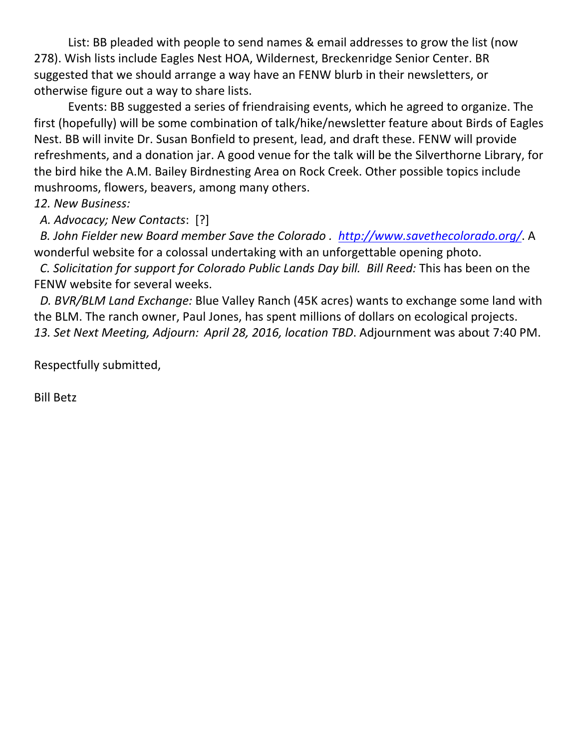List: BB pleaded with people to send names & email addresses to grow the list (now 278). Wish lists include Eagles Nest HOA, Wildernest, Breckenridge Senior Center. BR suggested that we should arrange a way have an FENW blurb in their newsletters, or otherwise figure out a way to share lists.

Events: BB suggested a series of friendraising events, which he agreed to organize. The first (hopefully) will be some combination of talk/hike/newsletter feature about Birds of Eagles Nest. BB will invite Dr. Susan Bonfield to present, lead, and draft these. FENW will provide refreshments, and a donation jar. A good venue for the talk will be the Silverthorne Library, for the bird hike the A.M. Bailey Birdnesting Area on Rock Creek. Other possible topics include mushrooms, flowers, beavers, among many others.

## *12. New Business:*

 *A. Advocacy; New Contacts*: [?]

 *B. John Fielder new Board member Save the Colorado . http://www.savethecolorado.org/*. A wonderful website for a colossal undertaking with an unforgettable opening photo.

 *C. Solicitation for support for Colorado Public Lands Day bill. Bill Reed:* This has been on the FENW website for several weeks.

 *D. BVR/BLM Land Exchange:* Blue Valley Ranch (45K acres) wants to exchange some land with the BLM. The ranch owner, Paul Jones, has spent millions of dollars on ecological projects. *13. Set Next Meeting, Adjourn: April 28, 2016, location TBD*. Adjournment was about 7:40 PM.

Respectfully submitted,

Bill Betz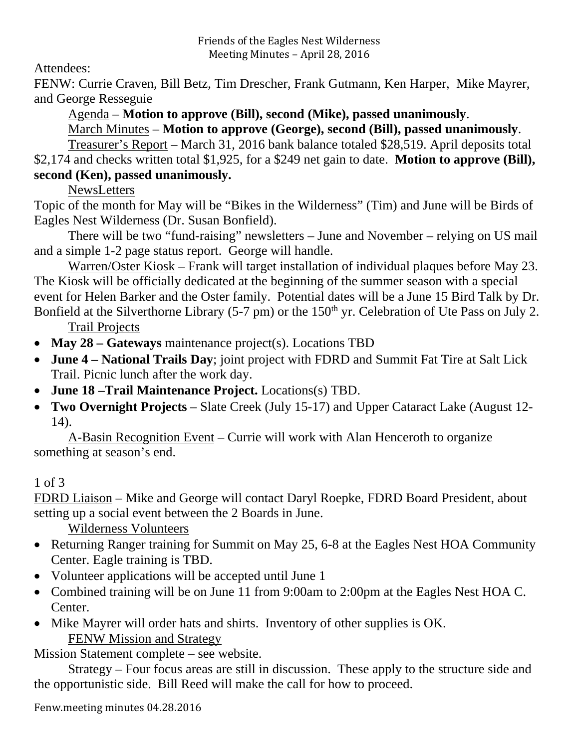Attendees:

FENW: Currie Craven, Bill Betz, Tim Drescher, Frank Gutmann, Ken Harper, Mike Mayrer, and George Resseguie

Agenda – **Motion to approve (Bill), second (Mike), passed unanimously**.

March Minutes – **Motion to approve (George), second (Bill), passed unanimously**.

 Treasurer's Report – March 31, 2016 bank balance totaled \$28,519. April deposits total \$2,174 and checks written total \$1,925, for a \$249 net gain to date. **Motion to approve (Bill), second (Ken), passed unanimously.** 

**NewsLetters** 

Topic of the month for May will be "Bikes in the Wilderness" (Tim) and June will be Birds of Eagles Nest Wilderness (Dr. Susan Bonfield).

 There will be two "fund-raising" newsletters – June and November – relying on US mail and a simple 1-2 page status report. George will handle.

 Warren/Oster Kiosk – Frank will target installation of individual plaques before May 23. The Kiosk will be officially dedicated at the beginning of the summer season with a special event for Helen Barker and the Oster family. Potential dates will be a June 15 Bird Talk by Dr. Bonfield at the Silverthorne Library (5-7 pm) or the 150<sup>th</sup> yr. Celebration of Ute Pass on July 2.

Trail Projects

- **May 28 Gateways** maintenance project(s). Locations TBD
- **June 4 National Trails Day**; joint project with FDRD and Summit Fat Tire at Salt Lick Trail. Picnic lunch after the work day.
- **June 18 –Trail Maintenance Project.** Locations(s) TBD.
- **Two Overnight Projects** Slate Creek (July 15-17) and Upper Cataract Lake (August 12- 14).

 A-Basin Recognition Event – Currie will work with Alan Henceroth to organize something at season's end.

# 1 of 3

FDRD Liaison – Mike and George will contact Daryl Roepke, FDRD Board President, about setting up a social event between the 2 Boards in June.

Wilderness Volunteers

- Returning Ranger training for Summit on May 25, 6-8 at the Eagles Nest HOA Community Center. Eagle training is TBD.
- Volunteer applications will be accepted until June 1
- Combined training will be on June 11 from 9:00am to 2:00pm at the Eagles Nest HOA C. Center.
- Mike Mayrer will order hats and shirts. Inventory of other supplies is OK. FENW Mission and Strategy

Mission Statement complete – see website.

 Strategy – Four focus areas are still in discussion. These apply to the structure side and the opportunistic side. Bill Reed will make the call for how to proceed.

Fenw.meeting minutes 04.28.2016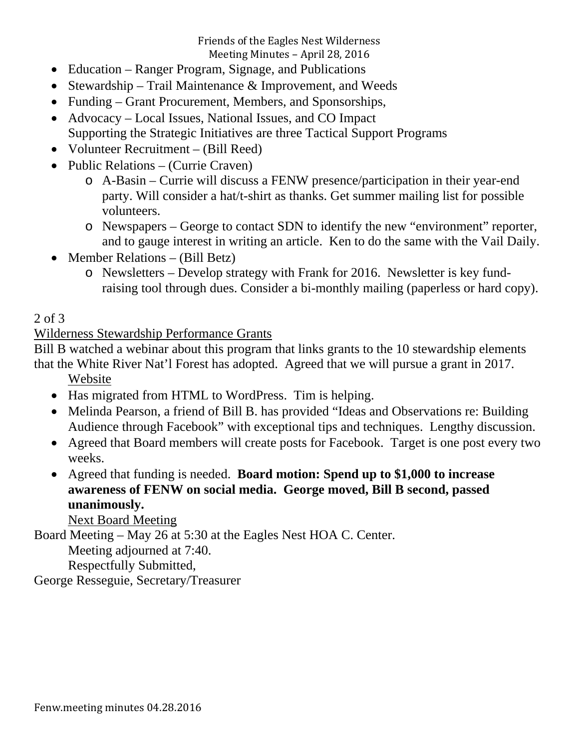Friends of the Eagles Nest Wilderness

Meeting Minutes - April 28, 2016

- Education Ranger Program, Signage, and Publications
- Stewardship Trail Maintenance & Improvement, and Weeds
- Funding Grant Procurement, Members, and Sponsorships,
- Advocacy Local Issues, National Issues, and CO Impact
- Supporting the Strategic Initiatives are three Tactical Support Programs
- Volunteer Recruitment (Bill Reed)
- Public Relations (Currie Craven)
	- o A-Basin Currie will discuss a FENW presence/participation in their year-end party. Will consider a hat/t-shirt as thanks. Get summer mailing list for possible volunteers.
	- o Newspapers George to contact SDN to identify the new "environment" reporter, and to gauge interest in writing an article. Ken to do the same with the Vail Daily.
- Member Relations (Bill Betz)
	- o Newsletters Develop strategy with Frank for 2016. Newsletter is key fundraising tool through dues. Consider a bi-monthly mailing (paperless or hard copy).

# 2 of 3

## Wilderness Stewardship Performance Grants

Bill B watched a webinar about this program that links grants to the 10 stewardship elements that the White River Nat'l Forest has adopted. Agreed that we will pursue a grant in 2017.

Website

- Has migrated from HTML to WordPress. Tim is helping.
- Melinda Pearson, a friend of Bill B. has provided "Ideas and Observations re: Building Audience through Facebook" with exceptional tips and techniques. Lengthy discussion.
- Agreed that Board members will create posts for Facebook. Target is one post every two weeks.
- Agreed that funding is needed. **Board motion: Spend up to \$1,000 to increase awareness of FENW on social media. George moved, Bill B second, passed unanimously.**

Next Board Meeting

Board Meeting – May 26 at 5:30 at the Eagles Nest HOA C. Center.

Meeting adjourned at 7:40.

Respectfully Submitted,

George Resseguie, Secretary/Treasurer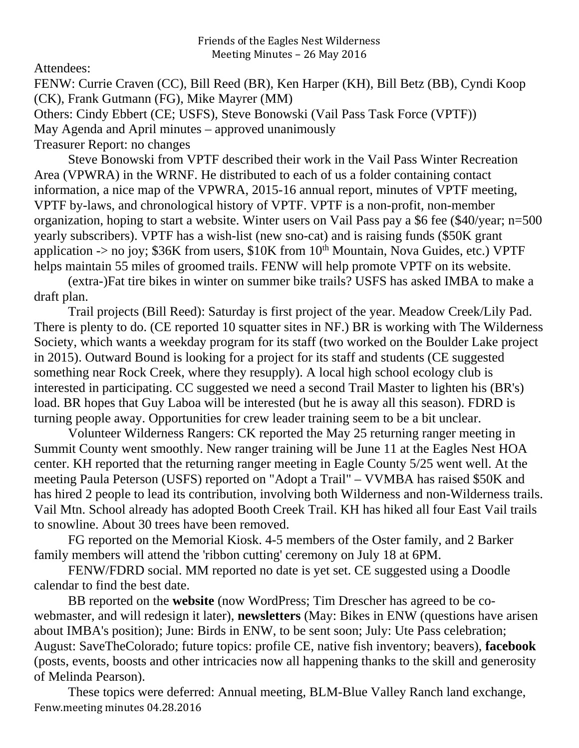## Attendees:

FENW: Currie Craven (CC), Bill Reed (BR), Ken Harper (KH), Bill Betz (BB), Cyndi Koop (CK), Frank Gutmann (FG), Mike Mayrer (MM) Others: Cindy Ebbert (CE; USFS), Steve Bonowski (Vail Pass Task Force (VPTF)) May Agenda and April minutes – approved unanimously Treasurer Report: no changes

 Steve Bonowski from VPTF described their work in the Vail Pass Winter Recreation Area (VPWRA) in the WRNF. He distributed to each of us a folder containing contact information, a nice map of the VPWRA, 2015-16 annual report, minutes of VPTF meeting, VPTF by-laws, and chronological history of VPTF. VPTF is a non-profit, non-member organization, hoping to start a website. Winter users on Vail Pass pay a \$6 fee (\$40/year; n=500 yearly subscribers). VPTF has a wish-list (new sno-cat) and is raising funds (\$50K grant application -> no joy;  $$36K$  from users,  $$10K$  from  $10<sup>th</sup>$  Mountain, Nova Guides, etc.) VPTF helps maintain 55 miles of groomed trails. FENW will help promote VPTF on its website.

 (extra-)Fat tire bikes in winter on summer bike trails? USFS has asked IMBA to make a draft plan.

 Trail projects (Bill Reed): Saturday is first project of the year. Meadow Creek/Lily Pad. There is plenty to do. (CE reported 10 squatter sites in NF.) BR is working with The Wilderness Society, which wants a weekday program for its staff (two worked on the Boulder Lake project in 2015). Outward Bound is looking for a project for its staff and students (CE suggested something near Rock Creek, where they resupply). A local high school ecology club is interested in participating. CC suggested we need a second Trail Master to lighten his (BR's) load. BR hopes that Guy Laboa will be interested (but he is away all this season). FDRD is turning people away. Opportunities for crew leader training seem to be a bit unclear.

 Volunteer Wilderness Rangers: CK reported the May 25 returning ranger meeting in Summit County went smoothly. New ranger training will be June 11 at the Eagles Nest HOA center. KH reported that the returning ranger meeting in Eagle County 5/25 went well. At the meeting Paula Peterson (USFS) reported on "Adopt a Trail" – VVMBA has raised \$50K and has hired 2 people to lead its contribution, involving both Wilderness and non-Wilderness trails. Vail Mtn. School already has adopted Booth Creek Trail. KH has hiked all four East Vail trails to snowline. About 30 trees have been removed.

 FG reported on the Memorial Kiosk. 4-5 members of the Oster family, and 2 Barker family members will attend the 'ribbon cutting' ceremony on July 18 at 6PM.

 FENW/FDRD social. MM reported no date is yet set. CE suggested using a Doodle calendar to find the best date.

 BB reported on the **website** (now WordPress; Tim Drescher has agreed to be cowebmaster, and will redesign it later), **newsletters** (May: Bikes in ENW (questions have arisen about IMBA's position); June: Birds in ENW, to be sent soon; July: Ute Pass celebration; August: SaveTheColorado; future topics: profile CE, native fish inventory; beavers), **facebook** (posts, events, boosts and other intricacies now all happening thanks to the skill and generosity of Melinda Pearson).

Fenw.meeting minutes 04.28.2016 These topics were deferred: Annual meeting, BLM-Blue Valley Ranch land exchange,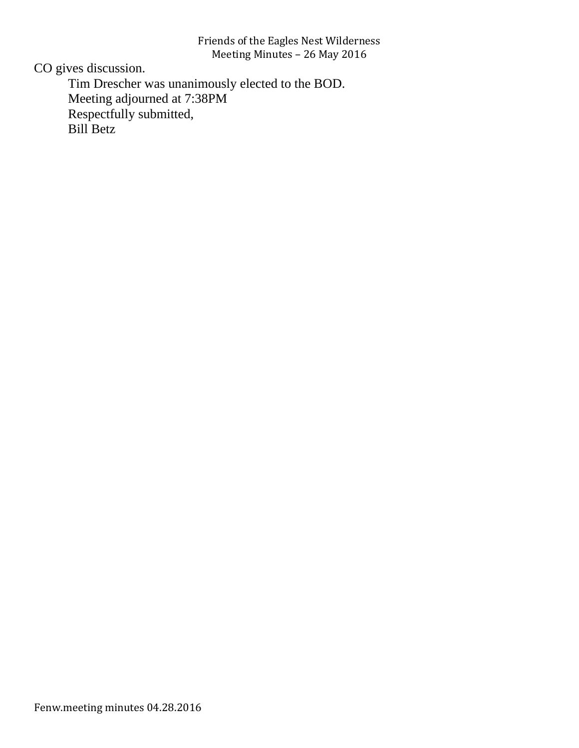## Friends of the Eagles Nest Wilderness Meeting Minutes - 26 May 2016

CO gives discussion.

 Tim Drescher was unanimously elected to the BOD. Meeting adjourned at 7:38PM Respectfully submitted, Bill Betz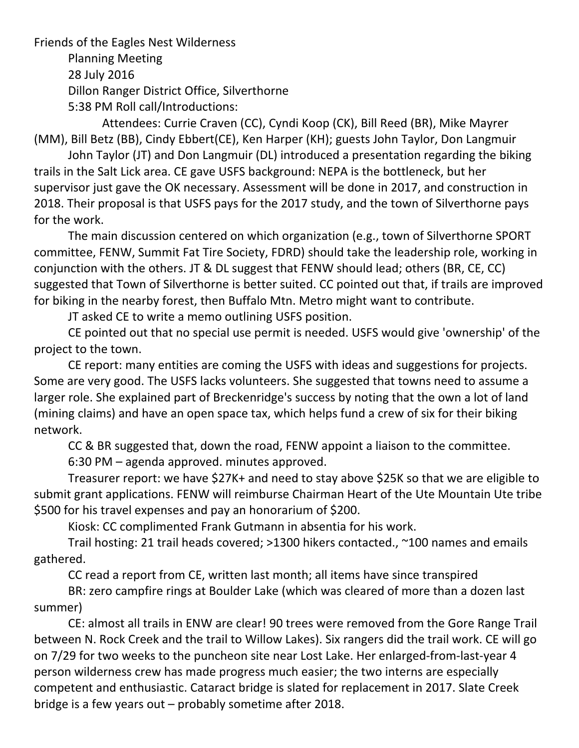Friends of the Eagles Nest Wilderness Planning Meeting 28 July 2016 Dillon Ranger District Office, Silverthorne 5:38 PM Roll call/Introductions:

 Attendees: Currie Craven (CC), Cyndi Koop (CK), Bill Reed (BR), Mike Mayrer (MM), Bill Betz (BB), Cindy Ebbert(CE), Ken Harper (KH); guests John Taylor, Don Langmuir

John Taylor (JT) and Don Langmuir (DL) introduced a presentation regarding the biking trails in the Salt Lick area. CE gave USFS background: NEPA is the bottleneck, but her supervisor just gave the OK necessary. Assessment will be done in 2017, and construction in 2018. Their proposal is that USFS pays for the 2017 study, and the town of Silverthorne pays for the work.

The main discussion centered on which organization (e.g., town of Silverthorne SPORT committee, FENW, Summit Fat Tire Society, FDRD) should take the leadership role, working in conjunction with the others. JT & DL suggest that FENW should lead; others (BR, CE, CC) suggested that Town of Silverthorne is better suited. CC pointed out that, if trails are improved for biking in the nearby forest, then Buffalo Mtn. Metro might want to contribute.

JT asked CE to write a memo outlining USFS position.

CE pointed out that no special use permit is needed. USFS would give 'ownership' of the project to the town.

CE report: many entities are coming the USFS with ideas and suggestions for projects. Some are very good. The USFS lacks volunteers. She suggested that towns need to assume a larger role. She explained part of Breckenridge's success by noting that the own a lot of land (mining claims) and have an open space tax, which helps fund a crew of six for their biking network.

CC & BR suggested that, down the road, FENW appoint a liaison to the committee.

6:30 PM – agenda approved. minutes approved.

Treasurer report: we have \$27K+ and need to stay above \$25K so that we are eligible to submit grant applications. FENW will reimburse Chairman Heart of the Ute Mountain Ute tribe \$500 for his travel expenses and pay an honorarium of \$200.

Kiosk: CC complimented Frank Gutmann in absentia for his work.

Trail hosting: 21 trail heads covered; >1300 hikers contacted., ~100 names and emails gathered.

CC read a report from CE, written last month; all items have since transpired

BR: zero campfire rings at Boulder Lake (which was cleared of more than a dozen last summer)

CE: almost all trails in ENW are clear! 90 trees were removed from the Gore Range Trail between N. Rock Creek and the trail to Willow Lakes). Six rangers did the trail work. CE will go on 7/29 for two weeks to the puncheon site near Lost Lake. Her enlarged‐from‐last‐year 4 person wilderness crew has made progress much easier; the two interns are especially competent and enthusiastic. Cataract bridge is slated for replacement in 2017. Slate Creek bridge is a few years out – probably sometime after 2018.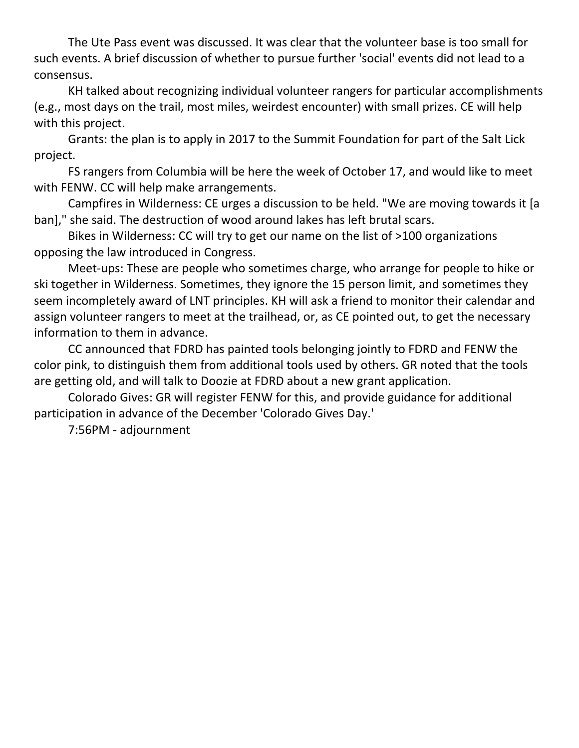The Ute Pass event was discussed. It was clear that the volunteer base is too small for such events. A brief discussion of whether to pursue further 'social' events did not lead to a consensus.

KH talked about recognizing individual volunteer rangers for particular accomplishments (e.g., most days on the trail, most miles, weirdest encounter) with small prizes. CE will help with this project.

Grants: the plan is to apply in 2017 to the Summit Foundation for part of the Salt Lick project.

FS rangers from Columbia will be here the week of October 17, and would like to meet with FENW. CC will help make arrangements.

Campfires in Wilderness: CE urges a discussion to be held. "We are moving towards it [a ban]," she said. The destruction of wood around lakes has left brutal scars.

Bikes in Wilderness: CC will try to get our name on the list of >100 organizations opposing the law introduced in Congress.

Meet-ups: These are people who sometimes charge, who arrange for people to hike or ski together in Wilderness. Sometimes, they ignore the 15 person limit, and sometimes they seem incompletely award of LNT principles. KH will ask a friend to monitor their calendar and assign volunteer rangers to meet at the trailhead, or, as CE pointed out, to get the necessary information to them in advance.

CC announced that FDRD has painted tools belonging jointly to FDRD and FENW the color pink, to distinguish them from additional tools used by others. GR noted that the tools are getting old, and will talk to Doozie at FDRD about a new grant application.

Colorado Gives: GR will register FENW for this, and provide guidance for additional participation in advance of the December 'Colorado Gives Day.'

7:56PM ‐ adjournment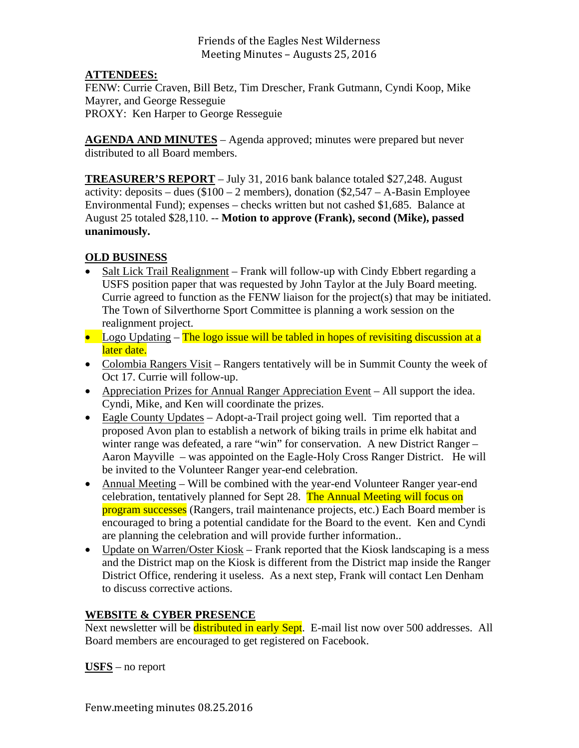Friends of the Eagles Nest Wilderness Meeting Minutes - Augusts 25, 2016

### **ATTENDEES:**

FENW: Currie Craven, Bill Betz, Tim Drescher, Frank Gutmann, Cyndi Koop, Mike Mayrer, and George Resseguie PROXY: Ken Harper to George Resseguie

**AGENDA AND MINUTES** – Agenda approved; minutes were prepared but never distributed to all Board members.

**TREASURER'S REPORT** – July 31, 2016 bank balance totaled \$27,248. August activity: deposits – dues  $(\$100 - 2$  members), donation  $(\$2,547 - A-Basin$  Employee Environmental Fund); expenses – checks written but not cashed \$1,685. Balance at August 25 totaled \$28,110. -- **Motion to approve (Frank), second (Mike), passed unanimously.** 

### **OLD BUSINESS**

- Salt Lick Trail Realignment Frank will follow-up with Cindy Ebbert regarding a USFS position paper that was requested by John Taylor at the July Board meeting. Currie agreed to function as the FENW liaison for the project(s) that may be initiated. The Town of Silverthorne Sport Committee is planning a work session on the realignment project.
- Logo Updating  $-$  The logo issue will be tabled in hopes of revisiting discussion at a later date.
- Colombia Rangers Visit Rangers tentatively will be in Summit County the week of Oct 17. Currie will follow-up.
- Appreciation Prizes for Annual Ranger Appreciation Event All support the idea. Cyndi, Mike, and Ken will coordinate the prizes.
- Eagle County Updates Adopt-a-Trail project going well. Tim reported that a proposed Avon plan to establish a network of biking trails in prime elk habitat and winter range was defeated, a rare "win" for conservation. A new District Ranger – Aaron Mayville – was appointed on the Eagle-Holy Cross Ranger District. He will be invited to the Volunteer Ranger year-end celebration.
- Annual Meeting Will be combined with the year-end Volunteer Ranger year-end celebration, tentatively planned for Sept 28. The Annual Meeting will focus on program successes (Rangers, trail maintenance projects, etc.) Each Board member is encouraged to bring a potential candidate for the Board to the event. Ken and Cyndi are planning the celebration and will provide further information..
- Update on Warren/Oster Kiosk Frank reported that the Kiosk landscaping is a mess and the District map on the Kiosk is different from the District map inside the Ranger District Office, rendering it useless. As a next step, Frank will contact Len Denham to discuss corrective actions.

### **WEBSITE & CYBER PRESENCE**

Next newsletter will be **distributed in early Sept**. E-mail list now over 500 addresses. All Board members are encouraged to get registered on Facebook.

**USFS** – no report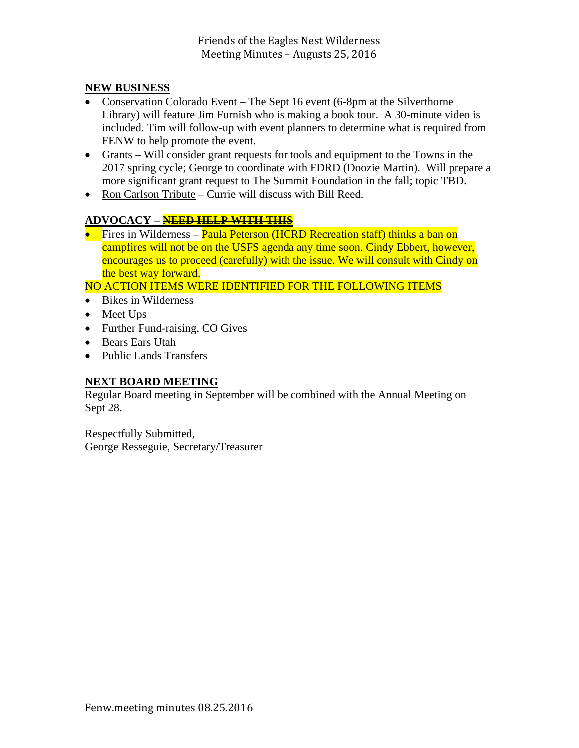### **NEW BUSINESS**

- Conservation Colorado Event The Sept 16 event (6-8pm at the Silverthorne Library) will feature Jim Furnish who is making a book tour. A 30-minute video is included. Tim will follow-up with event planners to determine what is required from FENW to help promote the event.
- Grants Will consider grant requests for tools and equipment to the Towns in the 2017 spring cycle; George to coordinate with FDRD (Doozie Martin). Will prepare a more significant grant request to The Summit Foundation in the fall; topic TBD.
- Ron Carlson Tribute Currie will discuss with Bill Reed.

## **ADVOCACY – NEED HELP WITH THIS**

**Fires in Wilderness – Paula Peterson (HCRD Recreation staff) thinks a ban on** campfires will not be on the USFS agenda any time soon. Cindy Ebbert, however, encourages us to proceed (carefully) with the issue. We will consult with Cindy on the best way forward.

NO ACTION ITEMS WERE IDENTIFIED FOR THE FOLLOWING ITEMS

- Bikes in Wilderness
- Meet Ups
- Further Fund-raising, CO Gives
- Bears Ears Utah
- Public Lands Transfers

### **NEXT BOARD MEETING**

Regular Board meeting in September will be combined with the Annual Meeting on Sept 28.

Respectfully Submitted, George Resseguie, Secretary/Treasurer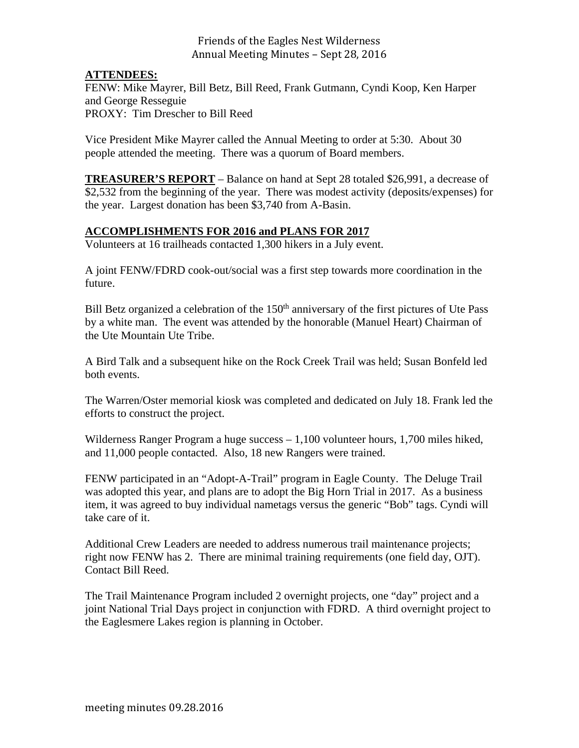### Friends of the Eagles Nest Wilderness Annual Meeting Minutes - Sept 28, 2016

### **ATTENDEES:**

FENW: Mike Mayrer, Bill Betz, Bill Reed, Frank Gutmann, Cyndi Koop, Ken Harper and George Resseguie PROXY: Tim Drescher to Bill Reed

Vice President Mike Mayrer called the Annual Meeting to order at 5:30. About 30 people attended the meeting. There was a quorum of Board members.

**TREASURER'S REPORT** – Balance on hand at Sept 28 totaled \$26,991, a decrease of \$2,532 from the beginning of the year. There was modest activity (deposits/expenses) for the year. Largest donation has been \$3,740 from A-Basin.

### **ACCOMPLISHMENTS FOR 2016 and PLANS FOR 2017**

Volunteers at 16 trailheads contacted 1,300 hikers in a July event.

A joint FENW/FDRD cook-out/social was a first step towards more coordination in the future.

Bill Betz organized a celebration of the  $150<sup>th</sup>$  anniversary of the first pictures of Ute Pass by a white man. The event was attended by the honorable (Manuel Heart) Chairman of the Ute Mountain Ute Tribe.

A Bird Talk and a subsequent hike on the Rock Creek Trail was held; Susan Bonfeld led both events.

The Warren/Oster memorial kiosk was completed and dedicated on July 18. Frank led the efforts to construct the project.

Wilderness Ranger Program a huge success – 1,100 volunteer hours, 1,700 miles hiked, and 11,000 people contacted. Also, 18 new Rangers were trained.

FENW participated in an "Adopt-A-Trail" program in Eagle County. The Deluge Trail was adopted this year, and plans are to adopt the Big Horn Trial in 2017. As a business item, it was agreed to buy individual nametags versus the generic "Bob" tags. Cyndi will take care of it.

Additional Crew Leaders are needed to address numerous trail maintenance projects; right now FENW has 2. There are minimal training requirements (one field day, OJT). Contact Bill Reed.

The Trail Maintenance Program included 2 overnight projects, one "day" project and a joint National Trial Days project in conjunction with FDRD. A third overnight project to the Eaglesmere Lakes region is planning in October.